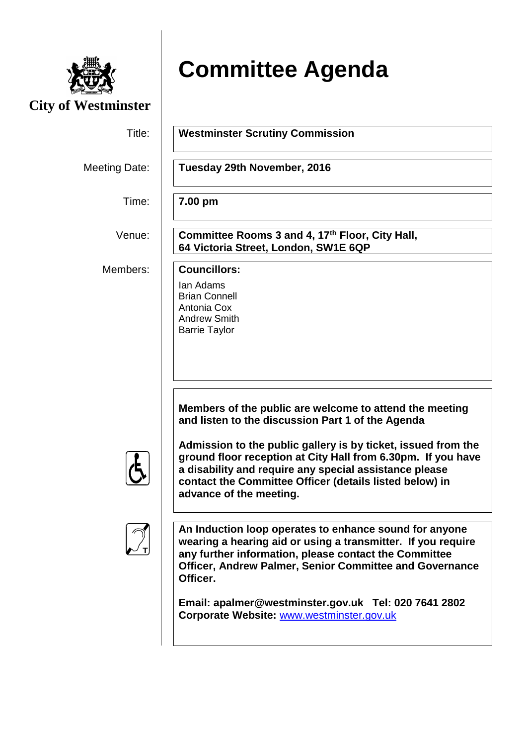

## **Committee Agenda**

| <b>City of Westminster</b> |                                                                                                                                                                                                                                                                                                                                                                                               |  |
|----------------------------|-----------------------------------------------------------------------------------------------------------------------------------------------------------------------------------------------------------------------------------------------------------------------------------------------------------------------------------------------------------------------------------------------|--|
| Title:                     | <b>Westminster Scrutiny Commission</b>                                                                                                                                                                                                                                                                                                                                                        |  |
| Meeting Date:              | Tuesday 29th November, 2016                                                                                                                                                                                                                                                                                                                                                                   |  |
| Time:                      | 7.00 pm                                                                                                                                                                                                                                                                                                                                                                                       |  |
| Venue:                     | Committee Rooms 3 and 4, 17th Floor, City Hall,<br>64 Victoria Street, London, SW1E 6QP                                                                                                                                                                                                                                                                                                       |  |
| Members:                   | <b>Councillors:</b><br>Ian Adams<br><b>Brian Connell</b><br>Antonia Cox<br><b>Andrew Smith</b><br><b>Barrie Taylor</b>                                                                                                                                                                                                                                                                        |  |
|                            | Members of the public are welcome to attend the meeting<br>and listen to the discussion Part 1 of the Agenda<br>Admission to the public gallery is by ticket, issued from the<br>ground floor reception at City Hall from 6.30pm. If you have<br>a disability and require any special assistance please<br>contact the Committee Officer (details listed below) in<br>advance of the meeting. |  |
|                            | An Induction loop operates to enhance sound for anyone<br>wearing a hearing aid or using a transmitter. If you require<br>any further information, please contact the Committee<br>Officer, Andrew Palmer, Senior Committee and Governance<br>Officer.<br>Email: apalmer@westminster.gov.uk Tel: 020 7641 2802<br>Corporate Website: www.westminster.gov.uk                                   |  |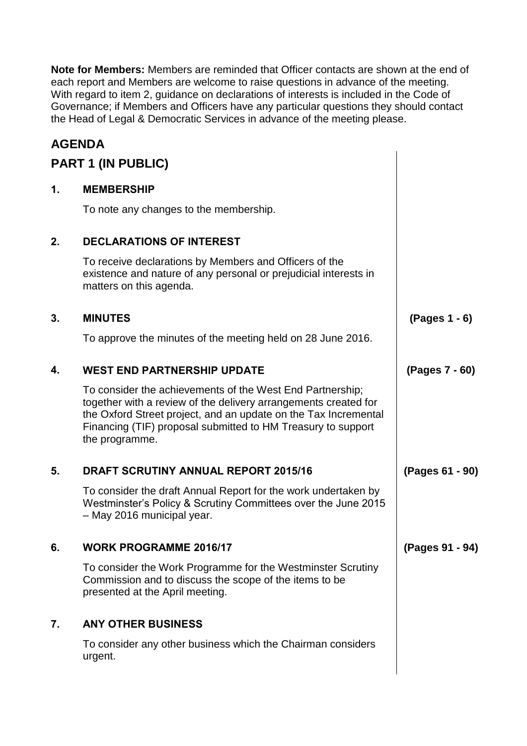**Note for Members:** Members are reminded that Officer contacts are shown at the end of each report and Members are welcome to raise questions in advance of the meeting. With regard to item 2, guidance on declarations of interests is included in the Code of Governance; if Members and Officers have any particular questions they should contact the Head of Legal & Democratic Services in advance of the meeting please.

## **AGENDA**

| <b>PART 1 (IN PUBLIC)</b> |                                                                                                                                                                                                                                                                                   |                 |  |
|---------------------------|-----------------------------------------------------------------------------------------------------------------------------------------------------------------------------------------------------------------------------------------------------------------------------------|-----------------|--|
| 1.                        | <b>MEMBERSHIP</b>                                                                                                                                                                                                                                                                 |                 |  |
|                           | To note any changes to the membership.                                                                                                                                                                                                                                            |                 |  |
| 2.                        | <b>DECLARATIONS OF INTEREST</b>                                                                                                                                                                                                                                                   |                 |  |
|                           | To receive declarations by Members and Officers of the<br>existence and nature of any personal or prejudicial interests in<br>matters on this agenda.                                                                                                                             |                 |  |
| 3.                        | <b>MINUTES</b>                                                                                                                                                                                                                                                                    | (Pages 1 - 6)   |  |
|                           | To approve the minutes of the meeting held on 28 June 2016.                                                                                                                                                                                                                       |                 |  |
| 4.                        | <b>WEST END PARTNERSHIP UPDATE</b>                                                                                                                                                                                                                                                | (Pages 7 - 60)  |  |
|                           | To consider the achievements of the West End Partnership;<br>together with a review of the delivery arrangements created for<br>the Oxford Street project, and an update on the Tax Incremental<br>Financing (TIF) proposal submitted to HM Treasury to support<br>the programme. |                 |  |
| 5.                        | <b>DRAFT SCRUTINY ANNUAL REPORT 2015/16</b>                                                                                                                                                                                                                                       | (Pages 61 - 90) |  |
|                           | To consider the draft Annual Report for the work undertaken by<br>Westminster's Policy & Scrutiny Committees over the June 2015<br>- May 2016 municipal year.                                                                                                                     |                 |  |
| 6.                        | WORK PROGRAMME 2016/17                                                                                                                                                                                                                                                            | (Pages 91 - 94) |  |
|                           | To consider the Work Programme for the Westminster Scrutiny<br>Commission and to discuss the scope of the items to be<br>presented at the April meeting.                                                                                                                          |                 |  |
| 7.                        | <b>ANY OTHER BUSINESS</b>                                                                                                                                                                                                                                                         |                 |  |
|                           | To consider any other business which the Chairman considers<br>urgent.                                                                                                                                                                                                            |                 |  |